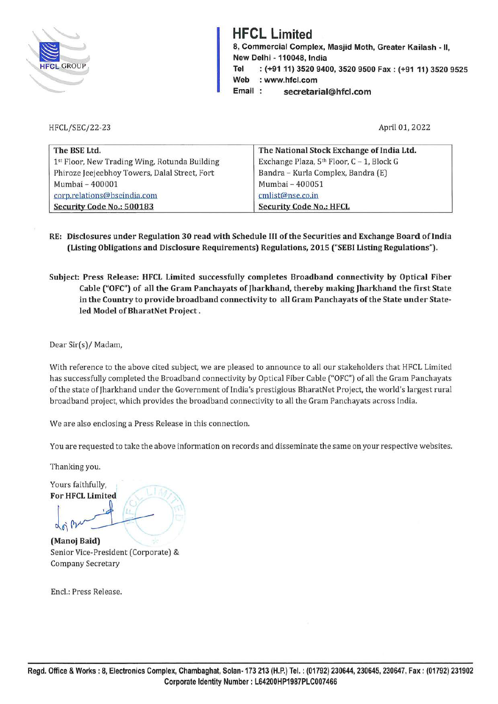

HFCL/SEC/22-23

# **HFCL Limited**

**8, Commercial Complex, Masjid Moth, Greater Kailash** - II, **New Delhi· 110048, India Tel** : **(+9111) 3520 9400, 3520 9500 Fax: (+91 11) 3520 9525 Web** : **www.hfcl.com**  Email: secretarial@hfcl.com

April 01, 2022

| The BSE Ltd.                                  | The National Stock Exchange of India Ltd. |
|-----------------------------------------------|-------------------------------------------|
| 1st Floor, New Trading Wing, Rotunda Building | Exchange Plaza, 5th Floor, C - 1, Block G |
| Phiroze Jeejeebhoy Towers, Dalal Street, Fort | Bandra - Kurla Complex, Bandra (E)        |
| Mumbai - 400001                               | Mumbai - 400051                           |
| corp.relations@bseindia.com                   | cmlist@nse.co.in                          |
| Security Code No.: 500183                     | <b>Security Code No.: HFCL</b>            |

- **RE: Disclosures under Regulation 30 read with Schedule** III **of the Securities and Exchange Board oflndia (Listing Obligations and Disclosure Requirements) Regulations, 2015 ("SEBI Listing Regulations").**
- **Subject: Press Release: HFCL Limited successfully completes Broadband connectivity by Optical Fiber Cable ("OFC") of all the Gram Panchayats of Jharkhand, thereby making Jharkhand the first State in the Country to provide broadband connectivity to all Gram Panchayats of the State under Stateled Model of BharatNet Project.**

Dear Sir(s)/ Madam,

With reference to the above cited subject, we are pleased to announce to all our stakeholders that HFCL Limited has successfully completed the Broadband connectivity by Optical Fiber Cable ("OFC") of all the Gram Panchayats of the state of Jharkhand under the Government of India's prestigious BharatN et Project, the world's largest rural broadband project, which provides the broadband connectivity to all the Gram Panchayats across India.

We are also enclosing a Press Release in this connection.

You are requested to take the above information on records and disseminate the same on your respective websites.

Thanking you.

Yours faithfully, For HFCL Limited

(Manoj Baid) hanking you.<br>
ours faithfully,<br>
or HFCL Limited<br>
on financi Baid) Senior Vice-President (Corporate) &

Company Secretary

Encl.: Press Release.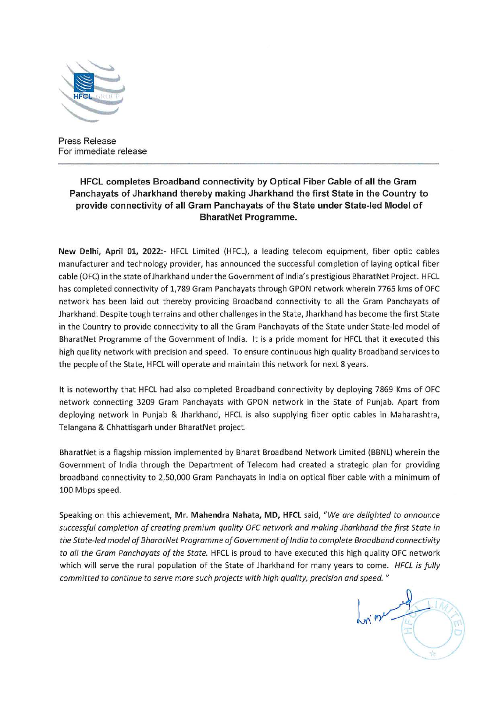

Press Release For immediate release

# **HFCL completes Broadband connectivity by Optical Fiber Cable of all the Gram Panchayats of Jharkhand thereby making Jharkhand the first State in the Country to provide connectivity of all Gram Panchayats of the State under State-led Model of BharatNet Programme.**

**New Delhi, April 01, 2022:-** HFCL Limited (HFCL), a leading telecom equipment, fiber optic cables manufacturer and technology provider, has announced the successful completion of laying optical fiber cable (OFC) in the state of Jharkhand under the Government of India's prestigious BharatNet Project. HFCL has completed connectivity of 1,789 Gram Panchayats through GPON network wherein 7765 kms of OFC network has been laid out thereby providing Broadband connectivity to all the Gram Panchayats of Jharkhand. Despite tough terrains and other challenges in the State, Jharkhand has become the first State in the Country to provide connectivity to all the Gram Panchayats of the State under State-led model of BharatNet Programme of the Government of India. It is a pride moment for HFCL that it executed this high quality network with precision and speed. To ensure continuous high quality Broadband services to the people of the State, HFCL will operate and maintain this network for next 8 years.

It is noteworthy that HFCL had also completed Broadband connectivity by deploying 7869 Kms of OFC network connecting 3209 Gram Panchayats with GPON network in the State of Punjab. Apart from deploying network in Punjab & Jharkhand, HFCL is also supplying fiber optic cables in Maharashtra, Telangana & Chhattisgarh under BharatNet project.

BharatNet is a flagship mission implemented by Bharat Broadband Network Limited (BBNL) wherein the Government of India through the Department of Telecom had created a strategic plan for providing broadband connectivity to 2,50,000 Gram Panchayats in India on optical fiber cable with a minimum of 100 Mbps speed.

Speaking on this achievement, **Mr. Mahendra Nahata, MD, HFCL** said, *"We are delighted to announce successful completion of creating premium quality OFC network and making Jharkhand the first State in the State-led model of BharatNet Programme of Government of India to complete Broadband connectivity to all the Gram Panchayats of the State.* HFCL is proud to have executed this high quality OFC network which will serve the rural population of the State of Jharkhand for many years to come. *HFCL is fully committed to continue to serve more such projects with high quality, precision and speed.* "

 $ln m = 10$  $\overline{\mathscr{S}}$